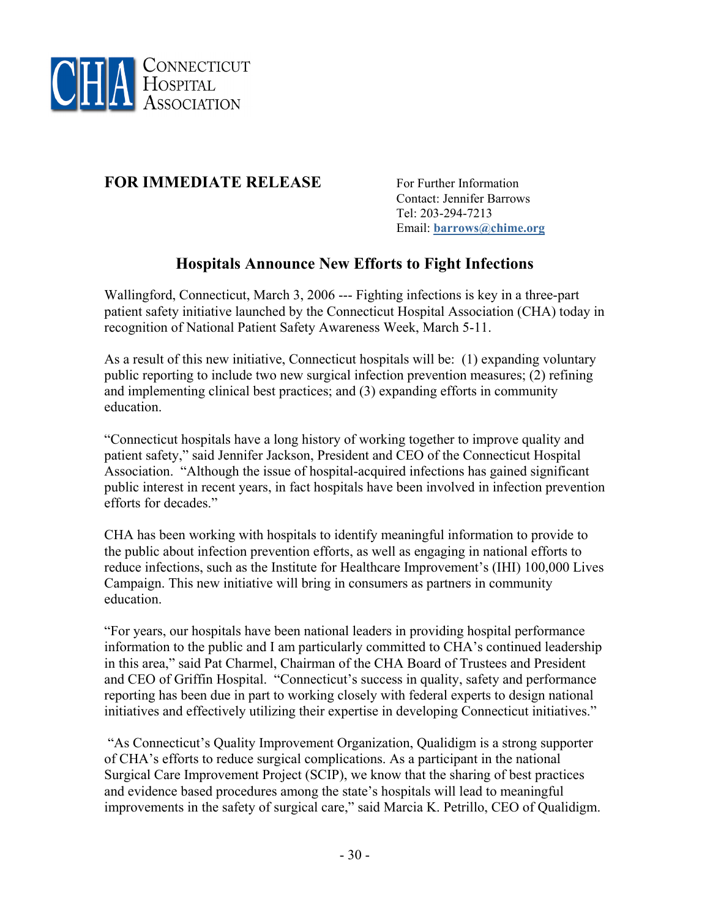

## **FOR IMMEDIATE RELEASE** For Further Information

 Contact: Jennifer Barrows Tel: 203-294-7213 Email: **[barrows@chime.org](mailto:barrows@chime.org)**

## **Hospitals Announce New Efforts to Fight Infections**

Wallingford, Connecticut, March 3, 2006 --- Fighting infections is key in a three-part patient safety initiative launched by the Connecticut Hospital Association (CHA) today in recognition of National Patient Safety Awareness Week, March 5-11.

As a result of this new initiative, Connecticut hospitals will be: (1) expanding voluntary public reporting to include two new surgical infection prevention measures; (2) refining and implementing clinical best practices; and (3) expanding efforts in community education.

"Connecticut hospitals have a long history of working together to improve quality and patient safety," said Jennifer Jackson, President and CEO of the Connecticut Hospital Association. "Although the issue of hospital-acquired infections has gained significant public interest in recent years, in fact hospitals have been involved in infection prevention efforts for decades."

CHA has been working with hospitals to identify meaningful information to provide to the public about infection prevention efforts, as well as engaging in national efforts to reduce infections, such as the Institute for Healthcare Improvement's (IHI) 100,000 Lives Campaign. This new initiative will bring in consumers as partners in community education.

"For years, our hospitals have been national leaders in providing hospital performance information to the public and I am particularly committed to CHA's continued leadership in this area," said Pat Charmel, Chairman of the CHA Board of Trustees and President and CEO of Griffin Hospital. "Connecticut's success in quality, safety and performance reporting has been due in part to working closely with federal experts to design national initiatives and effectively utilizing their expertise in developing Connecticut initiatives."

 "As Connecticut's Quality Improvement Organization, Qualidigm is a strong supporter of CHA's efforts to reduce surgical complications. As a participant in the national Surgical Care Improvement Project (SCIP), we know that the sharing of best practices and evidence based procedures among the state's hospitals will lead to meaningful improvements in the safety of surgical care," said Marcia K. Petrillo, CEO of Qualidigm.